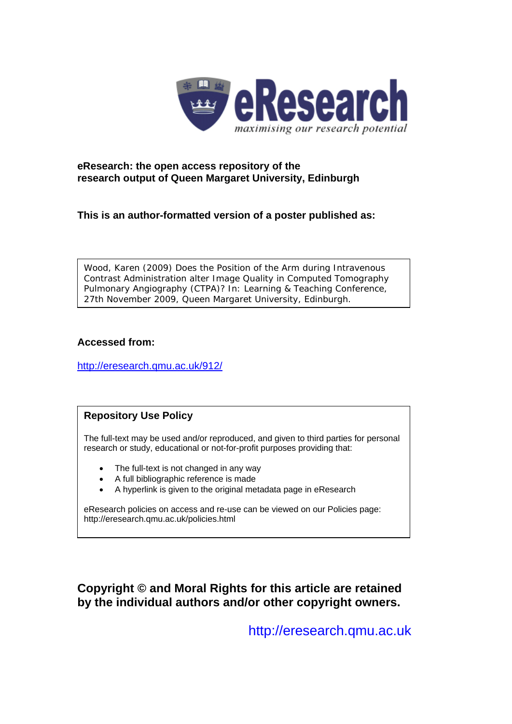

### **eResearch: the open access repository of the research output of Queen Margaret University, Edinburgh**

**This is an author-formatted version of a poster published as:** 

Wood, Karen (2009) *Does the Position of the Arm during Intravenous Contrast Administration alter Image Quality in Computed Tomography Pulmonary Angiography (CTPA)?* In: Learning & Teaching Conference, 27th November 2009, Queen Margaret University, Edinburgh.

#### **Accessed from:**

<http://eresearch.qmu.ac.uk/912/>

### **Repository Use Policy**

The full-text may be used and/or reproduced, and given to third parties for personal research or study, educational or not-for-profit purposes providing that:

- The full-text is not changed in any way
- A full bibliographic reference is made
- A hyperlink is given to the original metadata page in eResearch

eResearch policies on access and re-use can be viewed on our Policies page: <http://eresearch.qmu.ac.uk/policies.html>

**Copyright © and Moral Rights for this article are retained by the individual authors and/or other copyright owners.** 

[http://eresearch.qmu.ac.uk](http://eresearch.qmu.ac.uk/)